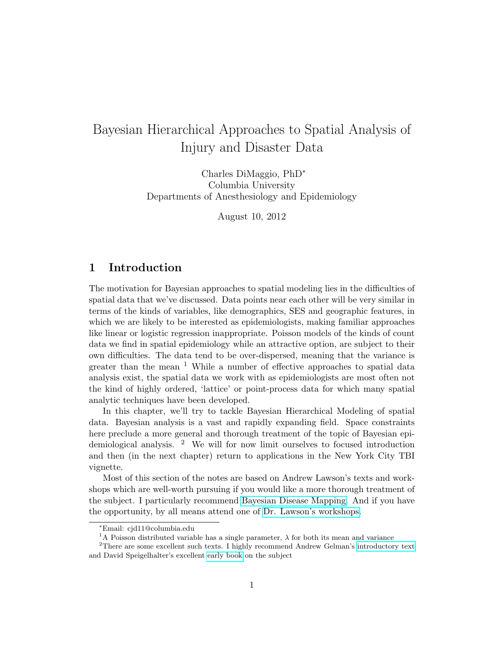# Bayesian Hierarchical Approaches to Spatial Analysis of Injury and Disaster Data

Charles DiMaggio, PhD<sup>∗</sup> Columbia University Departments of Anesthesiology and Epidemiology

August 10, 2012

### 1 Introduction

The motivation for Bayesian approaches to spatial modeling lies in the difficulties of spatial data that we've discussed. Data points near each other will be very similar in terms of the kinds of variables, like demographics, SES and geographic features, in which we are likely to be interested as epidemiologists, making familiar approaches like linear or logistic regression inappropriate. Poisson models of the kinds of count data we find in spatial epidemiology while an attractive option, are subject to their own difficulties. The data tend to be over-dispersed, meaning that the variance is greater than the mean  $1$  While a number of effective approaches to spatial data analysis exist, the spatial data we work with as epidemiologists are most often not the kind of highly ordered, 'lattice' or point-process data for which many spatial analytic techniques have been developed.

In this chapter, we'll try to tackle Bayesian Hierarchical Modeling of spatial data. Bayesian analysis is a vast and rapidly expanding field. Space constraints here preclude a more general and thorough treatment of the topic of Bayesian epidemiological analysis. <sup>2</sup> We will for now limit ourselves to focused introduction and then (in the next chapter) return to applications in the New York City TBI vignette.

Most of this section of the notes are based on Andrew Lawson's texts and workshops which are well-worth pursuing if you would like a more thorough treatment of the subject. I particularly recommend [Bayesian Disease Mapping.](http://www.amazon.com/Bayesian-Disease-Mapping-Hierarchical-Interdisciplinary/dp/1584888407/ref=sr_1_1?ie=UTF8&qid=1318607301&sr=8-1) And if you have the opportunity, by all means attend one of [Dr. Lawson's workshops.](http://www.sph.sc.edu/facultystaffpages/facstaffdetails.php?ID=192)

<sup>∗</sup>Email: cjd11@columbia.edu

<sup>&</sup>lt;sup>1</sup>A Poisson distributed variable has a single parameter,  $\lambda$  for both its mean and variance

 $^{2}$  There are some excellent such texts. I highly recommend Andrew Gelman's [introductory text](http://www.amazon.com/Bayesian-Analysis-Chapman-Statistical-Science/dp/158488388X/ref=sr_1_1?ie=UTF8&qid=1327935340&sr=8-1) and David Speigelhalter's excellent [early book](http://www.amazon.com/Bayesian-Approaches-Health-Care-Evaluation-Statistics/dp/0471499757/ref=sr_1_1?s=books&ie=UTF8&qid=1327935437&sr=1-1) on the subject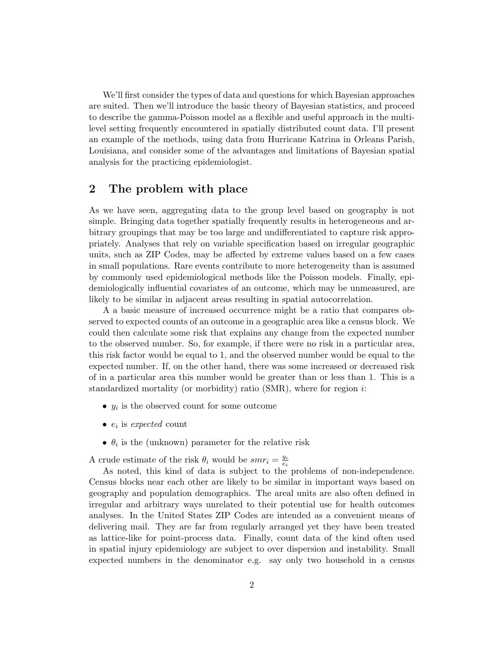We'll first consider the types of data and questions for which Bayesian approaches are suited. Then we'll introduce the basic theory of Bayesian statistics, and proceed to describe the gamma-Poisson model as a flexible and useful approach in the multilevel setting frequently encountered in spatially distributed count data. I'll present an example of the methods, using data from Hurricane Katrina in Orleans Parish, Louisiana, and consider some of the advantages and limitations of Bayesian spatial analysis for the practicing epidemiologist.

## 2 The problem with place

As we have seen, aggregating data to the group level based on geography is not simple. Bringing data together spatially frequently results in heterogeneous and arbitrary groupings that may be too large and undifferentiated to capture risk appropriately. Analyses that rely on variable specification based on irregular geographic units, such as ZIP Codes, may be affected by extreme values based on a few cases in small populations. Rare events contribute to more heterogeneity than is assumed by commonly used epidemiological methods like the Poisson models. Finally, epidemiologically influential covariates of an outcome, which may be unmeasured, are likely to be similar in adjacent areas resulting in spatial autocorrelation.

A a basic measure of increased occurrence might be a ratio that compares observed to expected counts of an outcome in a geographic area like a census block. We could then calculate some risk that explains any change from the expected number to the observed number. So, for example, if there were no risk in a particular area, this risk factor would be equal to 1, and the observed number would be equal to the expected number. If, on the other hand, there was some increased or decreased risk of in a particular area this number would be greater than or less than 1. This is a standardized mortality (or morbidity) ratio  $(SMR)$ , where for region *i*:

- $y_i$  is the observed count for some outcome
- $e_i$  is expected count
- $\theta_i$  is the (unknown) parameter for the relative risk

A crude estimate of the risk  $\theta_i$  would be  $smr_i = \frac{y_i}{\epsilon_i}$ ei

As noted, this kind of data is subject to the problems of non-independence. Census blocks near each other are likely to be similar in important ways based on geography and population demographics. The areal units are also often defined in irregular and arbitrary ways unrelated to their potential use for health outcomes analyses. In the United States ZIP Codes are intended as a convenient means of delivering mail. They are far from regularly arranged yet they have been treated as lattice-like for point-process data. Finally, count data of the kind often used in spatial injury epidemiology are subject to over dispersion and instability. Small expected numbers in the denominator e.g. say only two household in a census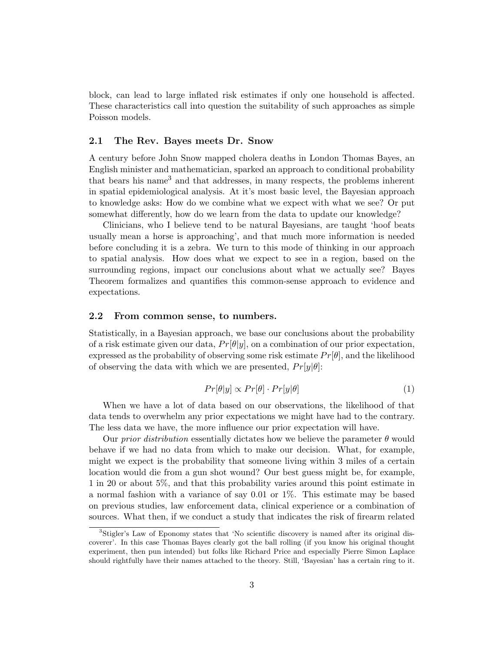block, can lead to large inflated risk estimates if only one household is affected. These characteristics call into question the suitability of such approaches as simple Poisson models.

#### 2.1 The Rev. Bayes meets Dr. Snow

A century before John Snow mapped cholera deaths in London Thomas Bayes, an English minister and mathematician, sparked an approach to conditional probability that bears his name<sup>3</sup> and that addresses, in many respects, the problems inherent in spatial epidemiological analysis. At it's most basic level, the Bayesian approach to knowledge asks: How do we combine what we expect with what we see? Or put somewhat differently, how do we learn from the data to update our knowledge?

Clinicians, who I believe tend to be natural Bayesians, are taught 'hoof beats usually mean a horse is approaching', and that much more information is needed before concluding it is a zebra. We turn to this mode of thinking in our approach to spatial analysis. How does what we expect to see in a region, based on the surrounding regions, impact our conclusions about what we actually see? Bayes Theorem formalizes and quantifies this common-sense approach to evidence and expectations.

#### 2.2 From common sense, to numbers.

Statistically, in a Bayesian approach, we base our conclusions about the probability of a risk estimate given our data,  $Pr[\theta|y]$ , on a combination of our prior expectation, expressed as the probability of observing some risk estimate  $Pr[\theta]$ , and the likelihood of observing the data with which we are presented,  $Pr[y|\theta]$ :

$$
Pr[\theta|y] \propto Pr[\theta] \cdot Pr[y|\theta] \tag{1}
$$

When we have a lot of data based on our observations, the likelihood of that data tends to overwhelm any prior expectations we might have had to the contrary. The less data we have, the more influence our prior expectation will have.

Our prior distribution essentially dictates how we believe the parameter  $\theta$  would behave if we had no data from which to make our decision. What, for example, might we expect is the probability that someone living within 3 miles of a certain location would die from a gun shot wound? Our best guess might be, for example, 1 in 20 or about 5%, and that this probability varies around this point estimate in a normal fashion with a variance of say  $0.01$  or  $1\%$ . This estimate may be based on previous studies, law enforcement data, clinical experience or a combination of sources. What then, if we conduct a study that indicates the risk of firearm related

<sup>3</sup>Stigler's Law of Eponomy states that 'No scientific discovery is named after its original discoverer'. In this case Thomas Bayes clearly got the ball rolling (if you know his original thought experiment, then pun intended) but folks like Richard Price and especially Pierre Simon Laplace should rightfully have their names attached to the theory. Still, 'Bayesian' has a certain ring to it.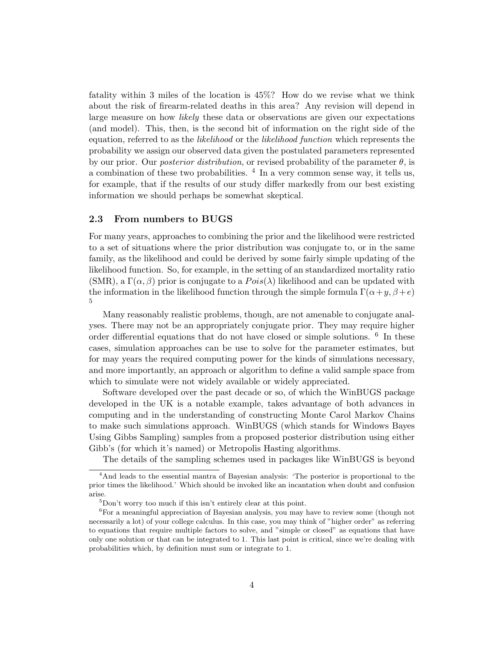fatality within 3 miles of the location is 45%? How do we revise what we think about the risk of firearm-related deaths in this area? Any revision will depend in large measure on how *likely* these data or observations are given our expectations (and model). This, then, is the second bit of information on the right side of the equation, referred to as the *likelihood* or the *likelihood function* which represents the probability we assign our observed data given the postulated parameters represented by our prior. Our *posterior distribution*, or revised probability of the parameter  $\theta$ , is a combination of these two probabilities. <sup>4</sup> In a very common sense way, it tells us, for example, that if the results of our study differ markedly from our best existing information we should perhaps be somewhat skeptical.

#### 2.3 From numbers to BUGS

For many years, approaches to combining the prior and the likelihood were restricted to a set of situations where the prior distribution was conjugate to, or in the same family, as the likelihood and could be derived by some fairly simple updating of the likelihood function. So, for example, in the setting of an standardized mortality ratio (SMR), a  $\Gamma(\alpha, \beta)$  prior is conjugate to a  $Pois(\lambda)$  likelihood and can be updated with the information in the likelihood function through the simple formula  $\Gamma(\alpha+y,\beta+e)$ 5

Many reasonably realistic problems, though, are not amenable to conjugate analyses. There may not be an appropriately conjugate prior. They may require higher order differential equations that do not have closed or simple solutions. <sup>6</sup> In these cases, simulation approaches can be use to solve for the parameter estimates, but for may years the required computing power for the kinds of simulations necessary, and more importantly, an approach or algorithm to define a valid sample space from which to simulate were not widely available or widely appreciated.

Software developed over the past decade or so, of which the WinBUGS package developed in the UK is a notable example, takes advantage of both advances in computing and in the understanding of constructing Monte Carol Markov Chains to make such simulations approach. WinBUGS (which stands for Windows Bayes Using Gibbs Sampling) samples from a proposed posterior distribution using either Gibb's (for which it's named) or Metropolis Hasting algorithms.

The details of the sampling schemes used in packages like WinBUGS is beyond

<sup>4</sup>And leads to the essential mantra of Bayesian analysis: 'The posterior is proportional to the prior times the likelihood.' Which should be invoked like an incantation when doubt and confusion arise.

<sup>5</sup>Don't worry too much if this isn't entirely clear at this point.

<sup>6</sup>For a meaningful appreciation of Bayesian analysis, you may have to review some (though not necessarily a lot) of your college calculus. In this case, you may think of "higher order" as referring to equations that require multiple factors to solve, and "simple or closed" as equations that have only one solution or that can be integrated to 1. This last point is critical, since we're dealing with probabilities which, by definition must sum or integrate to 1.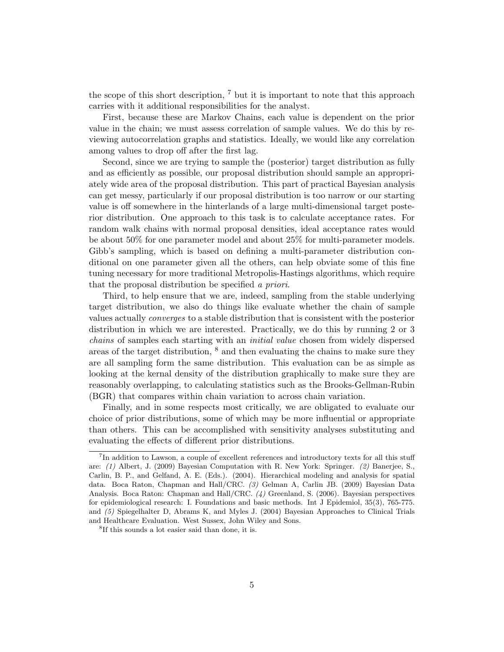the scope of this short description,  $7$  but it is important to note that this approach carries with it additional responsibilities for the analyst.

First, because these are Markov Chains, each value is dependent on the prior value in the chain; we must assess correlation of sample values. We do this by reviewing autocorrelation graphs and statistics. Ideally, we would like any correlation among values to drop off after the first lag.

Second, since we are trying to sample the (posterior) target distribution as fully and as efficiently as possible, our proposal distribution should sample an appropriately wide area of the proposal distribution. This part of practical Bayesian analysis can get messy, particularly if our proposal distribution is too narrow or our starting value is off somewhere in the hinterlands of a large multi-dimensional target posterior distribution. One approach to this task is to calculate acceptance rates. For random walk chains with normal proposal densities, ideal acceptance rates would be about 50% for one parameter model and about 25% for multi-parameter models. Gibb's sampling, which is based on defining a multi-parameter distribution conditional on one parameter given all the others, can help obviate some of this fine tuning necessary for more traditional Metropolis-Hastings algorithms, which require that the proposal distribution be specified a priori.

Third, to help ensure that we are, indeed, sampling from the stable underlying target distribution, we also do things like evaluate whether the chain of sample values actually converges to a stable distribution that is consistent with the posterior distribution in which we are interested. Practically, we do this by running 2 or 3 chains of samples each starting with an initial value chosen from widely dispersed areas of the target distribution,  $\delta$  and then evaluating the chains to make sure they are all sampling form the same distribution. This evaluation can be as simple as looking at the kernal density of the distribution graphically to make sure they are reasonably overlapping, to calculating statistics such as the Brooks-Gellman-Rubin (BGR) that compares within chain variation to across chain variation.

Finally, and in some respects most critically, we are obligated to evaluate our choice of prior distributions, some of which may be more influential or appropriate than others. This can be accomplished with sensitivity analyses substituting and evaluating the effects of different prior distributions.

<sup>&</sup>lt;sup>7</sup>In addition to Lawson, a couple of excellent references and introductory texts for all this stuff are: (1) Albert, J. (2009) Bayesian Computation with R. New York: Springer. (2) Banerjee, S., Carlin, B. P., and Gelfand, A. E. (Eds.). (2004). Hierarchical modeling and analysis for spatial data. Boca Raton, Chapman and Hall/CRC. (3) Gelman A, Carlin JB. (2009) Bayesian Data Analysis. Boca Raton: Chapman and Hall/CRC. (4) Greenland, S. (2006). Bayesian perspectives for epidemiological research: I. Foundations and basic methods. Int J Epidemiol, 35(3), 765-775. and (5) Spiegelhalter D, Abrams K, and Myles J. (2004) Bayesian Approaches to Clinical Trials and Healthcare Evaluation. West Sussex, John Wiley and Sons.

<sup>8</sup> If this sounds a lot easier said than done, it is.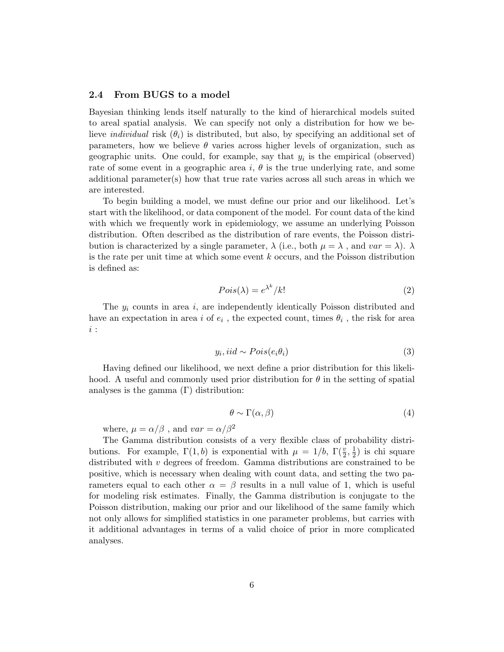#### 2.4 From BUGS to a model

Bayesian thinking lends itself naturally to the kind of hierarchical models suited to areal spatial analysis. We can specify not only a distribution for how we believe *individual* risk  $(\theta_i)$  is distributed, but also, by specifying an additional set of parameters, how we believe  $\theta$  varies across higher levels of organization, such as geographic units. One could, for example, say that  $y_i$  is the empirical (observed) rate of some event in a geographic area i,  $\theta$  is the true underlying rate, and some additional parameter(s) how that true rate varies across all such areas in which we are interested.

To begin building a model, we must define our prior and our likelihood. Let's start with the likelihood, or data component of the model. For count data of the kind with which we frequently work in epidemiology, we assume an underlying Poisson distribution. Often described as the distribution of rare events, the Poisson distribution is characterized by a single parameter,  $\lambda$  (i.e., both  $\mu = \lambda$ , and  $var = \lambda$ ).  $\lambda$ is the rate per unit time at which some event  $k$  occurs, and the Poisson distribution is defined as:

$$
Pois(\lambda) = e^{\lambda^k} / k! \tag{2}
$$

The  $y_i$  counts in area i, are independently identically Poisson distributed and have an expectation in area i of  $e_i$ , the expected count, times  $\theta_i$ , the risk for area i :

$$
y_i, \text{iid} \sim \text{Pois}(e_i \theta_i) \tag{3}
$$

Having defined our likelihood, we next define a prior distribution for this likelihood. A useful and commonly used prior distribution for  $\theta$  in the setting of spatial analyses is the gamma  $(\Gamma)$  distribution:

$$
\theta \sim \Gamma(\alpha, \beta) \tag{4}
$$

where,  $\mu = \alpha/\beta$ , and  $var = \alpha/\beta^2$ 

The Gamma distribution consists of a very flexible class of probability distributions. For example,  $\Gamma(1,b)$  is exponential with  $\mu = 1/b$ ,  $\Gamma(\frac{v}{2}, \frac{1}{2})$  $(\frac{1}{2})$  is chi square distributed with  $v$  degrees of freedom. Gamma distributions are constrained to be positive, which is necessary when dealing with count data, and setting the two parameters equal to each other  $\alpha = \beta$  results in a null value of 1, which is useful for modeling risk estimates. Finally, the Gamma distribution is conjugate to the Poisson distribution, making our prior and our likelihood of the same family which not only allows for simplified statistics in one parameter problems, but carries with it additional advantages in terms of a valid choice of prior in more complicated analyses.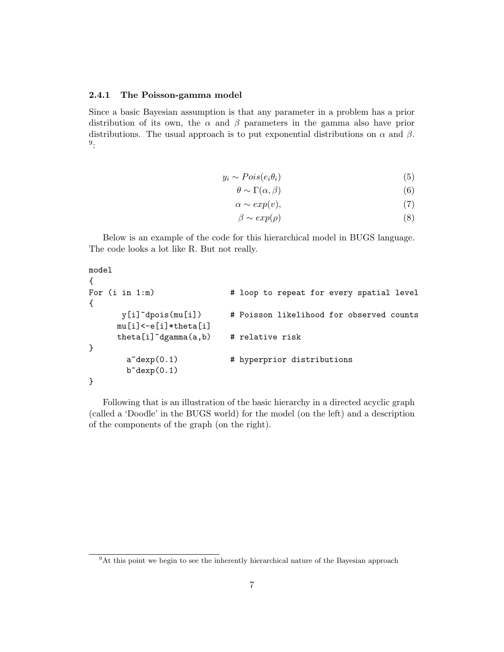#### 2.4.1 The Poisson-gamma model

Since a basic Bayesian assumption is that any parameter in a problem has a prior distribution of its own, the  $\alpha$  and  $\beta$  parameters in the gamma also have prior distributions. The usual approach is to put exponential distributions on  $\alpha$  and  $\beta$ . 9 :

$$
y_i \sim Pois(e_i \theta_i) \tag{5}
$$

$$
\theta \sim \Gamma(\alpha, \beta) \tag{6}
$$

$$
\alpha \sim exp(v),\tag{7}
$$

$$
\beta \sim exp(\rho) \tag{8}
$$

Below is an example of the code for this hierarchical model in BUGS language. The code looks a lot like R. But not really.

```
model
{
For (i in 1:m) \qquad # loop to repeat for every spatial level
{
       y[i]~dpois(mu[i]) # Poisson likelihood for observed counts
      mu[i]<-e[i]*theta[i]
      theta[i]"dgamma(a,b) # relative risk
}
        a<sup>\text{°decay}(0.1)</sup> # hyperprior distributions
        b^{\sim}dexp(0.1)}
```
Following that is an illustration of the basic hierarchy in a directed acyclic graph (called a 'Doodle' in the BUGS world) for the model (on the left) and a description of the components of the graph (on the right).

<sup>&</sup>lt;sup>9</sup>At this point we begin to see the inherently hierarchical nature of the Bayesian approach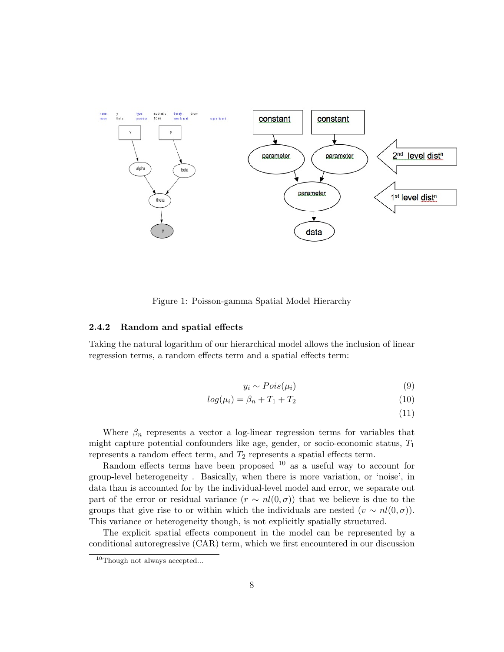

Figure 1: Poisson-gamma Spatial Model Hierarchy

#### 2.4.2 Random and spatial effects

Taking the natural logarithm of our hierarchical model allows the inclusion of linear regression terms, a random effects term and a spatial effects term:

$$
y_i \sim Pois(\mu_i) \tag{9}
$$

$$
log(\mu_i) = \beta_n + T_1 + T_2 \tag{10}
$$

(11)

Where  $\beta_n$  represents a vector a log-linear regression terms for variables that might capture potential confounders like age, gender, or socio-economic status,  $T_1$ represents a random effect term, and  $T_2$  represents a spatial effects term.

Random effects terms have been proposed  $10$  as a useful way to account for group-level heterogeneity . Basically, when there is more variation, or 'noise', in data than is accounted for by the individual-level model and error, we separate out part of the error or residual variance  $(r \sim nl(0,\sigma))$  that we believe is due to the groups that give rise to or within which the individuals are nested  $(v \sim nl(0,\sigma))$ . This variance or heterogeneity though, is not explicitly spatially structured.

The explicit spatial effects component in the model can be represented by a conditional autoregressive (CAR) term, which we first encountered in our discussion

<sup>&</sup>lt;sup>10</sup>Though not always accepted...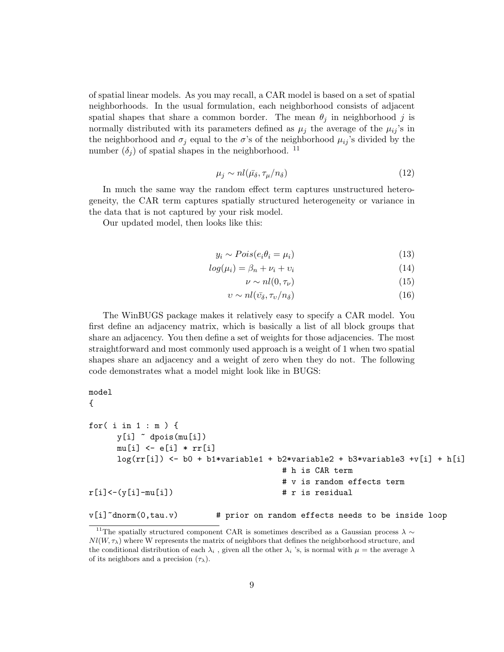of spatial linear models. As you may recall, a CAR model is based on a set of spatial neighborhoods. In the usual formulation, each neighborhood consists of adjacent spatial shapes that share a common border. The mean  $\theta_j$  in neighborhood j is normally distributed with its parameters defined as  $\mu_j$  the average of the  $\mu_{ij}$ 's in the neighborhood and  $\sigma_j$  equal to the  $\sigma$ 's of the neighborhood  $\mu_{ij}$ 's divided by the number  $(\delta_i)$  of spatial shapes in the neighborhood. <sup>11</sup>

$$
\mu_j \sim n l(\bar{\mu_\delta}, \tau_\mu / n_\delta) \tag{12}
$$

In much the same way the random effect term captures unstructured heterogeneity, the CAR term captures spatially structured heterogeneity or variance in the data that is not captured by your risk model.

Our updated model, then looks like this:

$$
y_i \sim Pois(e_i \theta_i = \mu_i) \tag{13}
$$

$$
log(\mu_i) = \beta_n + \nu_i + \nu_i \tag{14}
$$

$$
\nu \sim nl(0, \tau_{\nu})\tag{15}
$$

$$
v \sim nl(\bar{v_{\delta}}, \tau_v/n_{\delta})
$$
\n<sup>(16)</sup>

The WinBUGS package makes it relatively easy to specify a CAR model. You first define an adjacency matrix, which is basically a list of all block groups that share an adjacency. You then define a set of weights for those adjacencies. The most straightforward and most commonly used approach is a weight of 1 when two spatial shapes share an adjacency and a weight of zero when they do not. The following code demonstrates what a model might look like in BUGS:

```
model
```

```
{
```

```
for( i in 1 : m ) {
     y[i] ~ dpois(mu[i])
     mu[i] <- e[i] * rr[i]
     log(rr[i]) <- b0 + b1*variable1 + b2*variable2 + b3*variable3 +v[i] + h[i]
                                      # h is CAR term
                                      # v is random effects term
r[i] < -(y[i]-mu[i]) # r is residual
v[i]~dnorm(0,tau.v) # prior on random effects needs to be inside loop
```
<sup>&</sup>lt;sup>11</sup>The spatially structured component CAR is sometimes described as a Gaussian process  $\lambda \sim$  $N l(W, \tau_{\lambda})$  where W represents the matrix of neighbors that defines the neighborhood structure, and

the conditional distribution of each  $\lambda_i$ , given all the other  $\lambda_i$  's, is normal with  $\mu =$  the average  $\lambda$ of its neighbors and a precision  $(\tau_{\lambda})$ .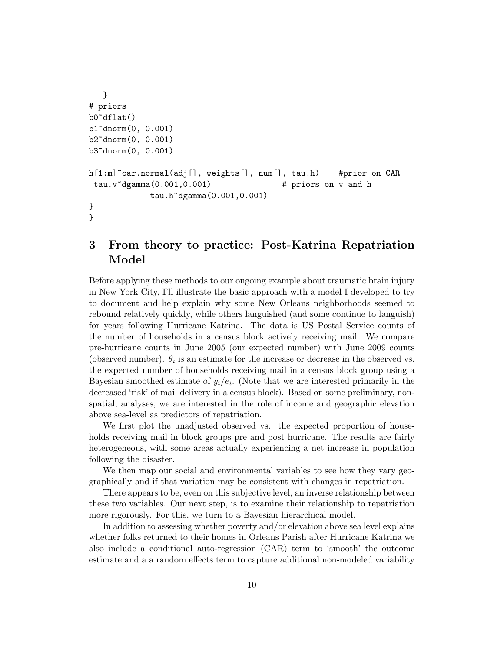```
}
# priors
b0~dflat()
b1~dnorm(0, 0.001)
b2~dnorm(0, 0.001)
b3~dnorm(0, 0.001)
h[1:m]~car.normal(adj[], weights[], num[], tau.h) #prior on CAR
tau.v~dgamma(0.001,0.001) # priors on v and h
            tau.h~dgamma(0.001,0.001)
}
}
```
## 3 From theory to practice: Post-Katrina Repatriation Model

Before applying these methods to our ongoing example about traumatic brain injury in New York City, I'll illustrate the basic approach with a model I developed to try to document and help explain why some New Orleans neighborhoods seemed to rebound relatively quickly, while others languished (and some continue to languish) for years following Hurricane Katrina. The data is US Postal Service counts of the number of households in a census block actively receiving mail. We compare pre-hurricane counts in June 2005 (our expected number) with June 2009 counts (observed number).  $\theta_i$  is an estimate for the increase or decrease in the observed vs. the expected number of households receiving mail in a census block group using a Bayesian smoothed estimate of  $y_i/e_i$ . (Note that we are interested primarily in the decreased 'risk' of mail delivery in a census block). Based on some preliminary, nonspatial, analyses, we are interested in the role of income and geographic elevation above sea-level as predictors of repatriation.

We first plot the unadjusted observed vs. the expected proportion of households receiving mail in block groups pre and post hurricane. The results are fairly heterogeneous, with some areas actually experiencing a net increase in population following the disaster.

We then map our social and environmental variables to see how they vary geographically and if that variation may be consistent with changes in repatriation.

There appears to be, even on this subjective level, an inverse relationship between these two variables. Our next step, is to examine their relationship to repatriation more rigorously. For this, we turn to a Bayesian hierarchical model.

In addition to assessing whether poverty and/or elevation above sea level explains whether folks returned to their homes in Orleans Parish after Hurricane Katrina we also include a conditional auto-regression (CAR) term to 'smooth' the outcome estimate and a a random effects term to capture additional non-modeled variability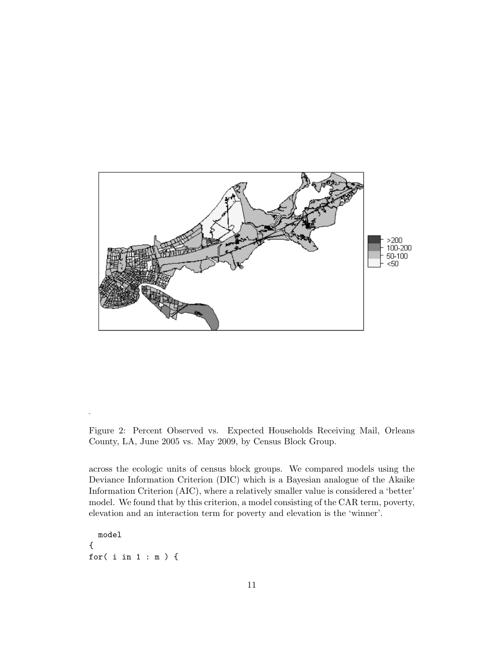

Figure 2: Percent Observed vs. Expected Households Receiving Mail, Orleans County, LA, June 2005 vs. May 2009, by Census Block Group.

across the ecologic units of census block groups. We compared models using the Deviance Information Criterion (DIC) which is a Bayesian analogue of the Akaike Information Criterion (AIC), where a relatively smaller value is considered a 'better' model. We found that by this criterion, a model consisting of the CAR term, poverty, elevation and an interaction term for poverty and elevation is the 'winner'.

```
model
{
for( i in 1 : m ) {
```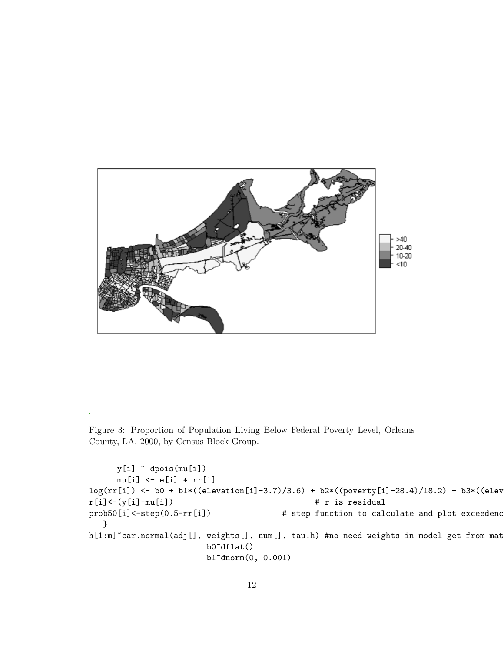

Figure 3: Proportion of Population Living Below Federal Poverty Level, Orleans County, LA, 2000, by Census Block Group.

```
y[i] ~ dpois(mu[i])
     mu[i] <- e[i] * rr[i]
log(rr[i]) \leftarrow b0 + b1*((elevation[i]-3.7)/3.6) + b2*((power[j]-28.4)/18.2) + b3*((elev-1)+b3/2)r[i] < -(y[i]-mu[i]) # r is residual
prob50[i]<-step(0.5-rr[i]) \qquad # step function to calculate and plot exceedenc
   }
h[1:m]~car.normal(adj[], weights[], num[], tau.h) #no need weights in model get from mat
                        b0~dflat()
                        b1~dnorm(0, 0.001)
```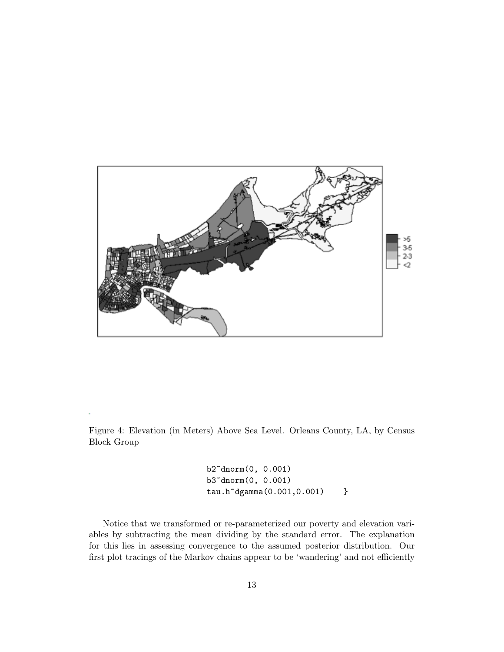

Figure 4: Elevation (in Meters) Above Sea Level. Orleans County, LA, by Census Block Group

> b2~dnorm(0, 0.001) b3~dnorm(0, 0.001) tau.h~dgamma(0.001,0.001) }

Notice that we transformed or re-parameterized our poverty and elevation variables by subtracting the mean dividing by the standard error. The explanation for this lies in assessing convergence to the assumed posterior distribution. Our first plot tracings of the Markov chains appear to be 'wandering' and not efficiently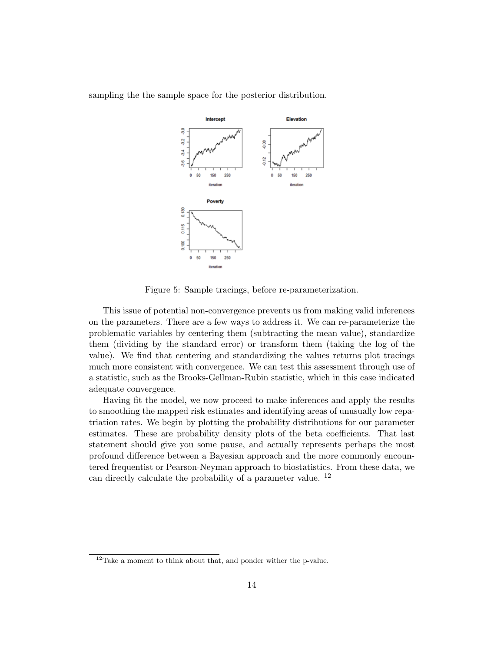

sampling the the sample space for the posterior distribution.

Figure 5: Sample tracings, before re-parameterization.

This issue of potential non-convergence prevents us from making valid inferences on the parameters. There are a few ways to address it. We can re-parameterize the problematic variables by centering them (subtracting the mean value), standardize them (dividing by the standard error) or transform them (taking the log of the value). We find that centering and standardizing the values returns plot tracings much more consistent with convergence. We can test this assessment through use of a statistic, such as the Brooks-Gellman-Rubin statistic, which in this case indicated adequate convergence.

Having fit the model, we now proceed to make inferences and apply the results to smoothing the mapped risk estimates and identifying areas of unusually low repatriation rates. We begin by plotting the probability distributions for our parameter estimates. These are probability density plots of the beta coefficients. That last statement should give you some pause, and actually represents perhaps the most profound difference between a Bayesian approach and the more commonly encountered frequentist or Pearson-Neyman approach to biostatistics. From these data, we can directly calculate the probability of a parameter value. <sup>12</sup>

<sup>12</sup>Take a moment to think about that, and ponder wither the p-value.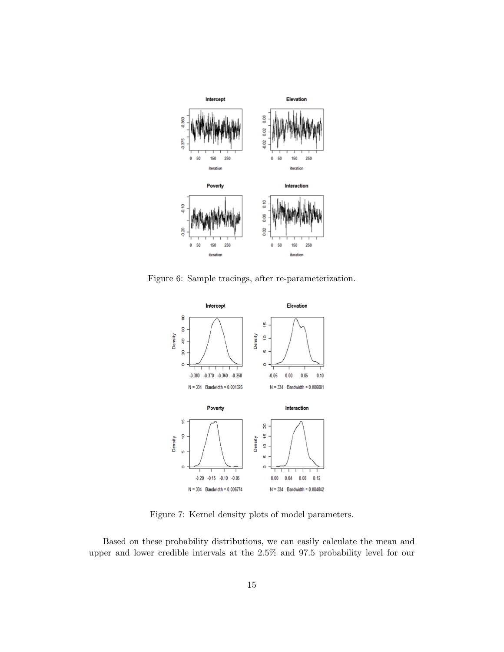

Figure 6: Sample tracings, after re-parameterization.



Figure 7: Kernel density plots of model parameters.

Based on these probability distributions, we can easily calculate the mean and upper and lower credible intervals at the 2.5% and 97.5 probability level for our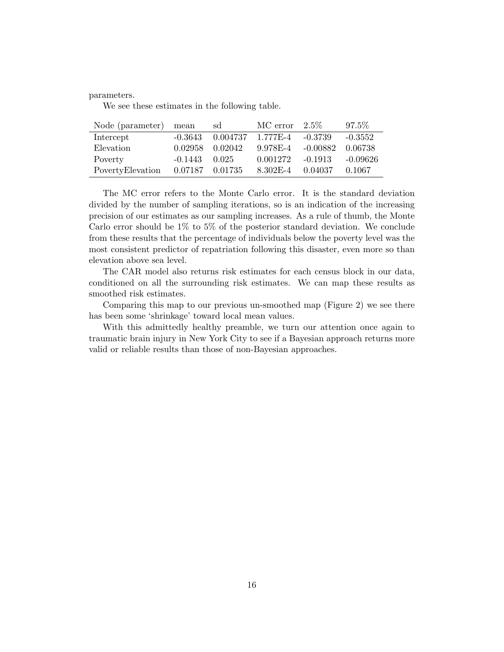parameters.

We see these estimates in the following table.

| Node (parameter) mean |                 | sd       | $MC error 2.5\%$   |            | 97.5%      |
|-----------------------|-----------------|----------|--------------------|------------|------------|
| Intercept             | $-0.3643$       | 0.004737 | $1.777E-4 -0.3739$ |            | $-0.3552$  |
| Elevation             | 0.02958         | 0.02042  | 9.978E-4           | $-0.00882$ | 0.06738    |
| Poverty               | $-0.1443$       | 0.025    | 0.001272           | $-0.1913$  | $-0.09626$ |
| PovertyElevation      | 0.07187 0.01735 |          | 8.302E-4           | 0.04037    | 0.1067     |

The MC error refers to the Monte Carlo error. It is the standard deviation divided by the number of sampling iterations, so is an indication of the increasing precision of our estimates as our sampling increases. As a rule of thumb, the Monte Carlo error should be 1% to 5% of the posterior standard deviation. We conclude from these results that the percentage of individuals below the poverty level was the most consistent predictor of repatriation following this disaster, even more so than elevation above sea level.

The CAR model also returns risk estimates for each census block in our data, conditioned on all the surrounding risk estimates. We can map these results as smoothed risk estimates.

Comparing this map to our previous un-smoothed map (Figure 2) we see there has been some 'shrinkage' toward local mean values.

With this admittedly healthy preamble, we turn our attention once again to traumatic brain injury in New York City to see if a Bayesian approach returns more valid or reliable results than those of non-Bayesian approaches.